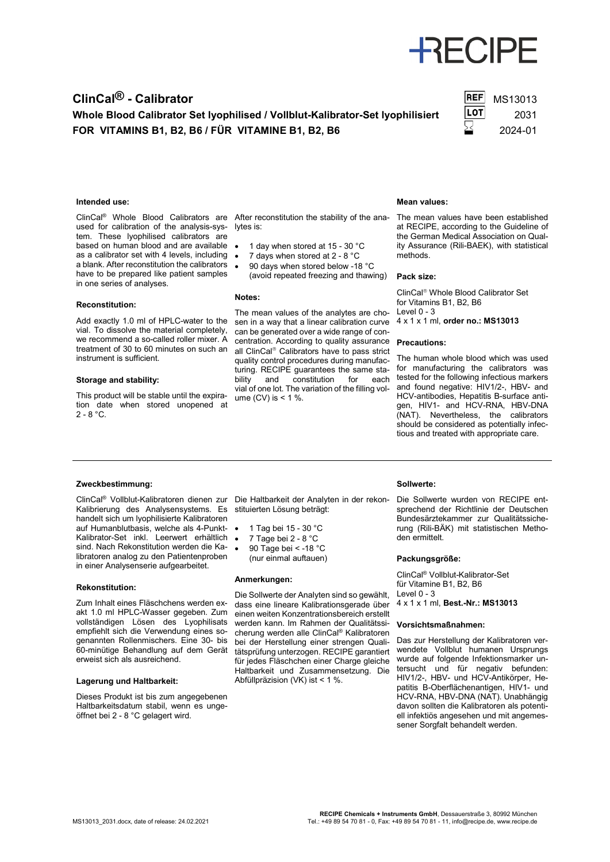# **RECIPE**

### **ClinCal<sup>®</sup> - Calibrator** MS13013

Whole Blood Calibrator Set lyophilised / Vollblut-Kalibrator-Set lyophilisiert LOT 2031 **FOR VITAMINS B1, B2, B6 / FÜR VITAMINE B1, B2, B6** 2024-01



#### **Intended use:**

ClinCal® Whole Blood Calibrators are used for calibration of the analysis-system. These lyophilised calibrators are based on human blood and are available as a calibrator set with 4 levels, including a blank. After reconstitution the calibrators have to be prepared like patient samples in one series of analyses.

#### **Reconstitution:**

Add exactly 1.0 ml of HPLC-water to the vial. To dissolve the material completely, we recommend a so-called roller mixer. A treatment of 30 to 60 minutes on such an instrument is sufficient.

#### **Storage and stability:**

This product will be stable until the expiration date when stored unopened at  $2 - 8 °C$ .

After reconstitution the stability of the ana-The mean values have been established lytes is:

- 1 day when stored at 15 30 °C
- 7 days when stored at 2 8 °C
- 90 days when stored below -18 °C (avoid repeated freezing and thawing)

#### **Notes:**

The mean values of the analytes are chosen in a way that a linear calibration curve can be generated over a wide range of concentration. According to quality assurance all ClinCal<sup>®</sup> Calibrators have to pass strict quality control procedures during manufacturing. RECIPE guarantees the same sta-<br>bility and constitution for each and constitution vial of one lot. The variation of the filling volume  $(CV)$  is  $< 1$  %.

#### **Mean values:**

at RECIPE, according to the Guideline of the German Medical Association on Quality Assurance (Rili-BAEK), with statistical methods.

#### **Pack size:**

ClinCal<sup>®</sup> Whole Blood Calibrator Set for Vitamins B1, B2, B6  $Level 0 - 3$ 4 x 1 x 1 ml, **order no.: MS13013**

#### **Precautions:**

The human whole blood which was used for manufacturing the calibrators was tested for the following infectious markers and found negative: HIV1/2-, HBV- and HCV-antibodies, Hepatitis B-surface antigen, HIV1- and HCV-RNA, HBV-DNA (NAT). Nevertheless, the calibrators should be considered as potentially infectious and treated with appropriate care.

#### **Zweckbestimmung:**

Kalibrierung des Analysensystems. Es handelt sich um lyophilisierte Kalibratoren auf Humanblutbasis, welche als 4-Punkt-Kalibrator-Set inkl. Leerwert erhältlich sind. Nach Rekonstitution werden die Kalibratoren analog zu den Patientenproben in einer Analysenserie aufgearbeitet.

#### **Rekonstitution:**

Zum Inhalt eines Fläschchens werden exakt 1.0 ml HPLC-Wasser gegeben. Zum vollständigen Lösen des Lyophilisats empfiehlt sich die Verwendung eines sogenannten Rollenmischers. Eine 30- bis 60-minütige Behandlung auf dem Gerät erweist sich als ausreichend.

#### **Lagerung und Haltbarkeit:**

Dieses Produkt ist bis zum angegebenen Haltbarkeitsdatum stabil, wenn es ungeöffnet bei 2 - 8 °C gelagert wird.

ClinCal® Vollblut-Kalibratoren dienen zur Die Haltbarkeit der Analyten in der rekonstituierten Lösung beträgt:

- 1 Tag bei 15 30 °C
- 7 Tage bei 2 8 °C
- 90 Tage bei < -18 °C
- (nur einmal auftauen)

#### **Anmerkungen:**

Die Sollwerte der Analyten sind so gewählt, dass eine lineare Kalibrationsgerade über einen weiten Konzentrationsbereich erstellt werden kann. Im Rahmen der Qualitätssicherung werden alle ClinCal® Kalibratoren bei der Herstellung einer strengen Qualitätsprüfung unterzogen. RECIPE garantiert für jedes Fläschchen einer Charge gleiche Haltbarkeit und Zusammensetzung. Die Abfüllpräzision (VK) ist < 1 %.

#### **Sollwerte:**

Die Sollwerte wurden von RECIPE entsprechend der Richtlinie der Deutschen Bundesärztekammer zur Qualitätssicherung (Rili-BÄK) mit statistischen Methoden ermittelt.

#### **Packungsgröße:**

ClinCal® Vollblut-Kalibrator-Set für Vitamine B1, B2, B6 Level  $0 - 3$ 

4 x 1 x 1 ml, **Best.-Nr.: MS13013**

#### **Vorsichtsmaßnahmen:**

Das zur Herstellung der Kalibratoren verwendete Vollblut humanen Ursprungs wurde auf folgende Infektionsmarker untersucht und für negativ befunden: HIV1/2-, HBV- und HCV-Antikörper, Hepatitis B-Oberflächenantigen, HIV1- und HCV-RNA, HBV-DNA (NAT). Unabhängig davon sollten die Kalibratoren als potentiell infektiös angesehen und mit angemessener Sorgfalt behandelt werden.